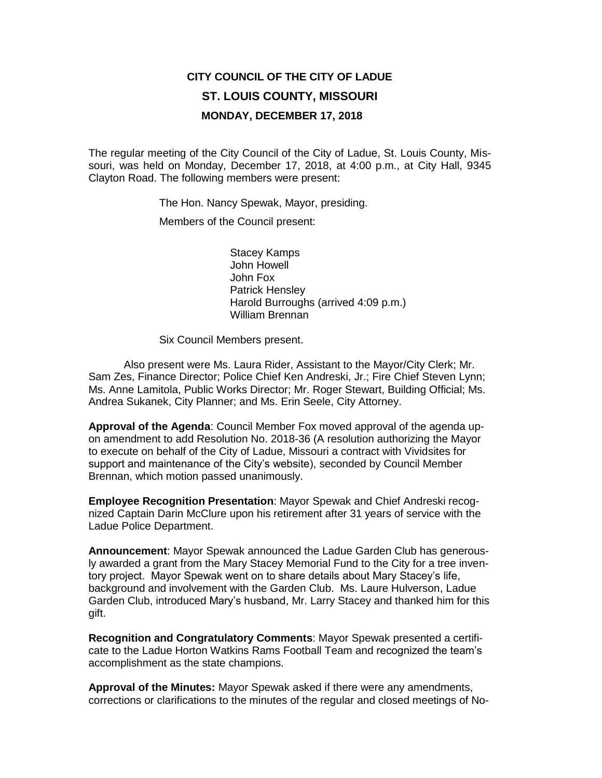# **CITY COUNCIL OF THE CITY OF LADUE ST. LOUIS COUNTY, MISSOURI MONDAY, DECEMBER 17, 2018**

The regular meeting of the City Council of the City of Ladue, St. Louis County, Missouri, was held on Monday, December 17, 2018, at 4:00 p.m., at City Hall, 9345 Clayton Road. The following members were present:

The Hon. Nancy Spewak, Mayor, presiding.

Members of the Council present:

Stacey Kamps John Howell John Fox Patrick Hensley Harold Burroughs (arrived 4:09 p.m.) William Brennan

Six Council Members present.

Also present were Ms. Laura Rider, Assistant to the Mayor/City Clerk; Mr. Sam Zes, Finance Director; Police Chief Ken Andreski, Jr.; Fire Chief Steven Lynn; Ms. Anne Lamitola, Public Works Director; Mr. Roger Stewart, Building Official; Ms. Andrea Sukanek, City Planner; and Ms. Erin Seele, City Attorney.

**Approval of the Agenda**: Council Member Fox moved approval of the agenda upon amendment to add Resolution No. 2018-36 (A resolution authorizing the Mayor to execute on behalf of the City of Ladue, Missouri a contract with Vividsites for support and maintenance of the City's website), seconded by Council Member Brennan, which motion passed unanimously.

**Employee Recognition Presentation**: Mayor Spewak and Chief Andreski recognized Captain Darin McClure upon his retirement after 31 years of service with the Ladue Police Department.

**Announcement**: Mayor Spewak announced the Ladue Garden Club has generously awarded a grant from the Mary Stacey Memorial Fund to the City for a tree inventory project. Mayor Spewak went on to share details about Mary Stacey's life, background and involvement with the Garden Club. Ms. Laure Hulverson, Ladue Garden Club, introduced Mary's husband, Mr. Larry Stacey and thanked him for this gift.

**Recognition and Congratulatory Comments**: Mayor Spewak presented a certificate to the Ladue Horton Watkins Rams Football Team and recognized the team's accomplishment as the state champions.

**Approval of the Minutes:** Mayor Spewak asked if there were any amendments, corrections or clarifications to the minutes of the regular and closed meetings of No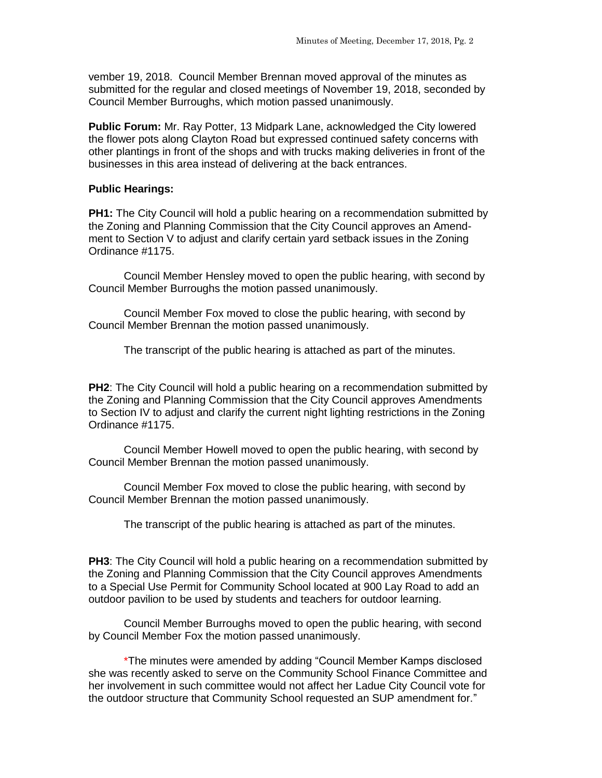vember 19, 2018. Council Member Brennan moved approval of the minutes as submitted for the regular and closed meetings of November 19, 2018, seconded by Council Member Burroughs, which motion passed unanimously.

**Public Forum:** Mr. Ray Potter, 13 Midpark Lane, acknowledged the City lowered the flower pots along Clayton Road but expressed continued safety concerns with other plantings in front of the shops and with trucks making deliveries in front of the businesses in this area instead of delivering at the back entrances.

### **Public Hearings:**

**PH1:** The City Council will hold a public hearing on a recommendation submitted by the Zoning and Planning Commission that the City Council approves an Amendment to Section V to adjust and clarify certain yard setback issues in the Zoning Ordinance #1175.

Council Member Hensley moved to open the public hearing, with second by Council Member Burroughs the motion passed unanimously.

Council Member Fox moved to close the public hearing, with second by Council Member Brennan the motion passed unanimously.

The transcript of the public hearing is attached as part of the minutes.

**PH2**: The City Council will hold a public hearing on a recommendation submitted by the Zoning and Planning Commission that the City Council approves Amendments to Section IV to adjust and clarify the current night lighting restrictions in the Zoning Ordinance #1175.

Council Member Howell moved to open the public hearing, with second by Council Member Brennan the motion passed unanimously.

Council Member Fox moved to close the public hearing, with second by Council Member Brennan the motion passed unanimously.

The transcript of the public hearing is attached as part of the minutes.

**PH3**: The City Council will hold a public hearing on a recommendation submitted by the Zoning and Planning Commission that the City Council approves Amendments to a Special Use Permit for Community School located at 900 Lay Road to add an outdoor pavilion to be used by students and teachers for outdoor learning*.* 

Council Member Burroughs moved to open the public hearing, with second by Council Member Fox the motion passed unanimously.

\*The minutes were amended by adding "Council Member Kamps disclosed she was recently asked to serve on the Community School Finance Committee and her involvement in such committee would not affect her Ladue City Council vote for the outdoor structure that Community School requested an SUP amendment for."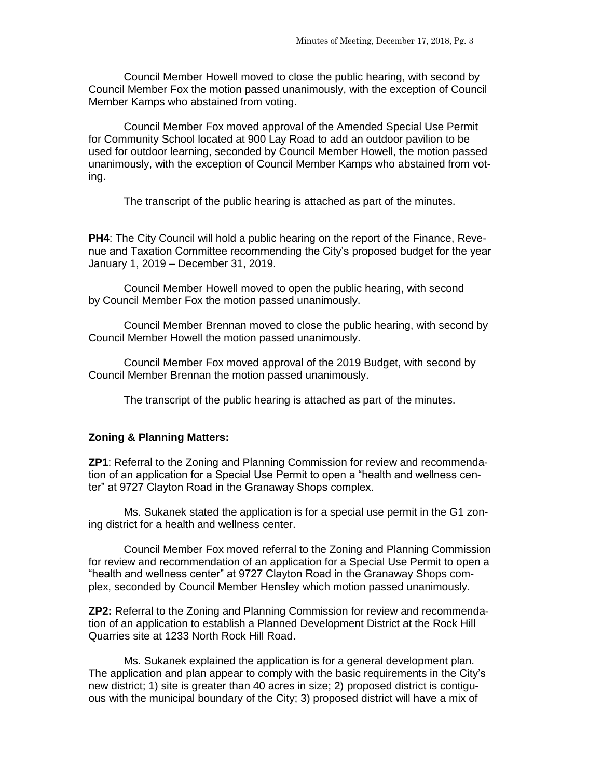Council Member Howell moved to close the public hearing, with second by Council Member Fox the motion passed unanimously, with the exception of Council Member Kamps who abstained from voting.

Council Member Fox moved approval of the Amended Special Use Permit for Community School located at 900 Lay Road to add an outdoor pavilion to be used for outdoor learning, seconded by Council Member Howell, the motion passed unanimously, with the exception of Council Member Kamps who abstained from voting.

The transcript of the public hearing is attached as part of the minutes.

**PH4**: The City Council will hold a public hearing on the report of the Finance, Revenue and Taxation Committee recommending the City's proposed budget for the year January 1, 2019 – December 31, 2019.

Council Member Howell moved to open the public hearing, with second by Council Member Fox the motion passed unanimously.

Council Member Brennan moved to close the public hearing, with second by Council Member Howell the motion passed unanimously.

Council Member Fox moved approval of the 2019 Budget, with second by Council Member Brennan the motion passed unanimously.

The transcript of the public hearing is attached as part of the minutes.

### **Zoning & Planning Matters:**

**ZP1**: Referral to the Zoning and Planning Commission for review and recommendation of an application for a Special Use Permit to open a "health and wellness center" at 9727 Clayton Road in the Granaway Shops complex.

Ms. Sukanek stated the application is for a special use permit in the G1 zoning district for a health and wellness center.

Council Member Fox moved referral to the Zoning and Planning Commission for review and recommendation of an application for a Special Use Permit to open a "health and wellness center" at 9727 Clayton Road in the Granaway Shops complex, seconded by Council Member Hensley which motion passed unanimously.

**ZP2:** Referral to the Zoning and Planning Commission for review and recommendation of an application to establish a Planned Development District at the Rock Hill Quarries site at 1233 North Rock Hill Road.

Ms. Sukanek explained the application is for a general development plan. The application and plan appear to comply with the basic requirements in the City's new district; 1) site is greater than 40 acres in size; 2) proposed district is contiguous with the municipal boundary of the City; 3) proposed district will have a mix of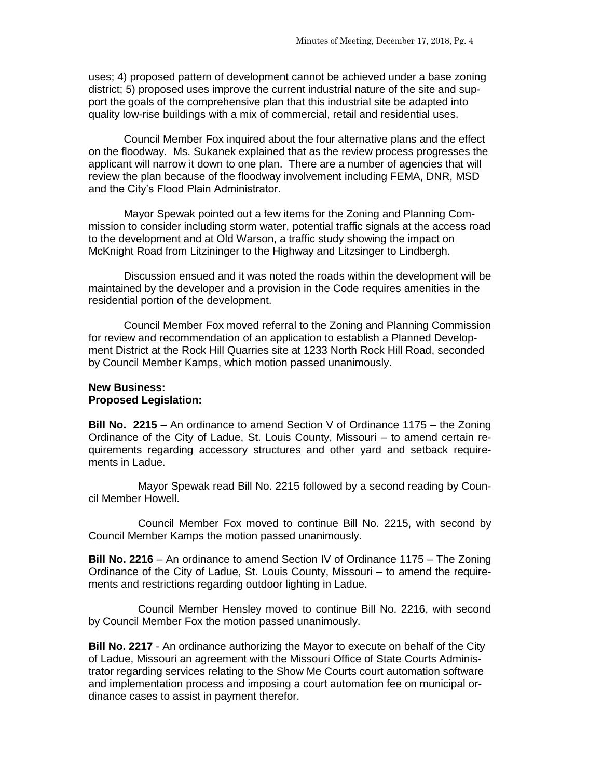uses; 4) proposed pattern of development cannot be achieved under a base zoning district; 5) proposed uses improve the current industrial nature of the site and support the goals of the comprehensive plan that this industrial site be adapted into quality low-rise buildings with a mix of commercial, retail and residential uses.

Council Member Fox inquired about the four alternative plans and the effect on the floodway. Ms. Sukanek explained that as the review process progresses the applicant will narrow it down to one plan. There are a number of agencies that will review the plan because of the floodway involvement including FEMA, DNR, MSD and the City's Flood Plain Administrator.

Mayor Spewak pointed out a few items for the Zoning and Planning Commission to consider including storm water, potential traffic signals at the access road to the development and at Old Warson, a traffic study showing the impact on McKnight Road from Litzininger to the Highway and Litzsinger to Lindbergh.

Discussion ensued and it was noted the roads within the development will be maintained by the developer and a provision in the Code requires amenities in the residential portion of the development.

Council Member Fox moved referral to the Zoning and Planning Commission for review and recommendation of an application to establish a Planned Development District at the Rock Hill Quarries site at 1233 North Rock Hill Road, seconded by Council Member Kamps, which motion passed unanimously.

### **New Business: Proposed Legislation:**

**Bill No. 2215** – An ordinance to amend Section V of Ordinance 1175 – the Zoning Ordinance of the City of Ladue, St. Louis County, Missouri – to amend certain requirements regarding accessory structures and other yard and setback requirements in Ladue.

Mayor Spewak read Bill No. 2215 followed by a second reading by Council Member Howell.

Council Member Fox moved to continue Bill No. 2215, with second by Council Member Kamps the motion passed unanimously.

**Bill No. 2216** – An ordinance to amend Section IV of Ordinance 1175 – The Zoning Ordinance of the City of Ladue, St. Louis County, Missouri – to amend the requirements and restrictions regarding outdoor lighting in Ladue.

Council Member Hensley moved to continue Bill No. 2216, with second by Council Member Fox the motion passed unanimously.

**Bill No. 2217** - An ordinance authorizing the Mayor to execute on behalf of the City of Ladue, Missouri an agreement with the Missouri Office of State Courts Administrator regarding services relating to the Show Me Courts court automation software and implementation process and imposing a court automation fee on municipal ordinance cases to assist in payment therefor.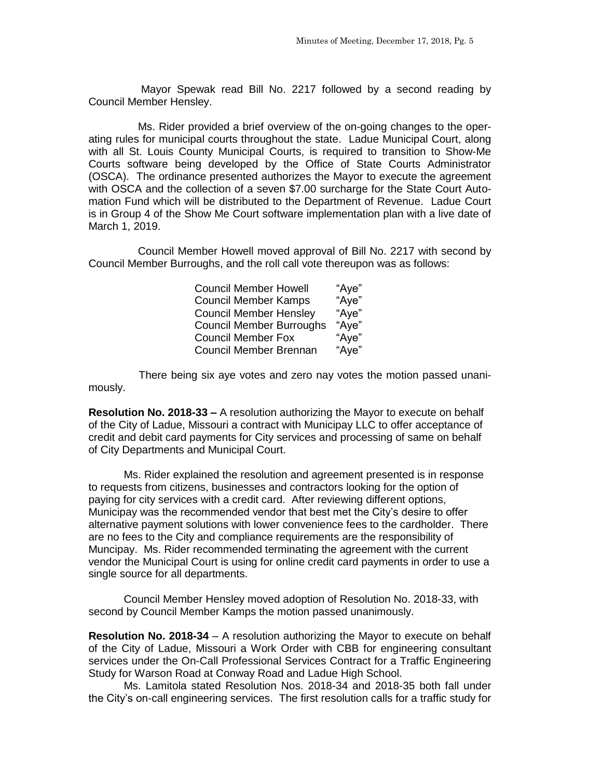Mayor Spewak read Bill No. 2217 followed by a second reading by Council Member Hensley.

Ms. Rider provided a brief overview of the on-going changes to the operating rules for municipal courts throughout the state. Ladue Municipal Court, along with all St. Louis County Municipal Courts, is required to transition to Show-Me Courts software being developed by the Office of State Courts Administrator (OSCA). The ordinance presented authorizes the Mayor to execute the agreement with OSCA and the collection of a seven \$7.00 surcharge for the State Court Automation Fund which will be distributed to the Department of Revenue. Ladue Court is in Group 4 of the Show Me Court software implementation plan with a live date of March 1, 2019.

Council Member Howell moved approval of Bill No. 2217 with second by Council Member Burroughs, and the roll call vote thereupon was as follows:

| <b>Council Member Howell</b>    | "Aye" |
|---------------------------------|-------|
| <b>Council Member Kamps</b>     | "Aye" |
| <b>Council Member Hensley</b>   | "Aye" |
| <b>Council Member Burroughs</b> | "Aye" |
| <b>Council Member Fox</b>       | "Aye" |
| Council Member Brennan          | "Aye" |

 There being six aye votes and zero nay votes the motion passed unanimously.

**Resolution No. 2018-33 –** A resolution authorizing the Mayor to execute on behalf of the City of Ladue, Missouri a contract with Municipay LLC to offer acceptance of credit and debit card payments for City services and processing of same on behalf of City Departments and Municipal Court.

Ms. Rider explained the resolution and agreement presented is in response to requests from citizens, businesses and contractors looking for the option of paying for city services with a credit card. After reviewing different options, Municipay was the recommended vendor that best met the City's desire to offer alternative payment solutions with lower convenience fees to the cardholder. There are no fees to the City and compliance requirements are the responsibility of Muncipay. Ms. Rider recommended terminating the agreement with the current vendor the Municipal Court is using for online credit card payments in order to use a single source for all departments.

Council Member Hensley moved adoption of Resolution No. 2018-33, with second by Council Member Kamps the motion passed unanimously.

**Resolution No. 2018-34** – A resolution authorizing the Mayor to execute on behalf of the City of Ladue, Missouri a Work Order with CBB for engineering consultant services under the On-Call Professional Services Contract for a Traffic Engineering Study for Warson Road at Conway Road and Ladue High School.

Ms. Lamitola stated Resolution Nos. 2018-34 and 2018-35 both fall under the City's on-call engineering services. The first resolution calls for a traffic study for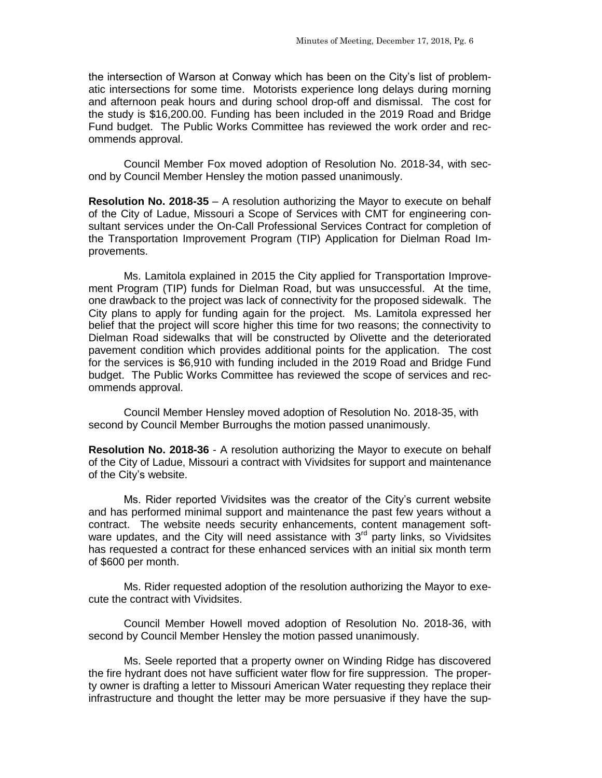the intersection of Warson at Conway which has been on the City's list of problematic intersections for some time. Motorists experience long delays during morning and afternoon peak hours and during school drop-off and dismissal. The cost for the study is \$16,200.00. Funding has been included in the 2019 Road and Bridge Fund budget. The Public Works Committee has reviewed the work order and recommends approval.

Council Member Fox moved adoption of Resolution No. 2018-34, with second by Council Member Hensley the motion passed unanimously.

**Resolution No. 2018-35** – A resolution authorizing the Mayor to execute on behalf of the City of Ladue, Missouri a Scope of Services with CMT for engineering consultant services under the On-Call Professional Services Contract for completion of the Transportation Improvement Program (TIP) Application for Dielman Road Improvements.

Ms. Lamitola explained in 2015 the City applied for Transportation Improvement Program (TIP) funds for Dielman Road, but was unsuccessful. At the time, one drawback to the project was lack of connectivity for the proposed sidewalk. The City plans to apply for funding again for the project. Ms. Lamitola expressed her belief that the project will score higher this time for two reasons; the connectivity to Dielman Road sidewalks that will be constructed by Olivette and the deteriorated pavement condition which provides additional points for the application. The cost for the services is \$6,910 with funding included in the 2019 Road and Bridge Fund budget. The Public Works Committee has reviewed the scope of services and recommends approval.

Council Member Hensley moved adoption of Resolution No. 2018-35, with second by Council Member Burroughs the motion passed unanimously.

**Resolution No. 2018-36** - A resolution authorizing the Mayor to execute on behalf of the City of Ladue, Missouri a contract with Vividsites for support and maintenance of the City's website.

Ms. Rider reported Vividsites was the creator of the City's current website and has performed minimal support and maintenance the past few years without a contract. The website needs security enhancements, content management software updates, and the City will need assistance with  $3<sup>rd</sup>$  party links, so Vividsites has requested a contract for these enhanced services with an initial six month term of \$600 per month.

Ms. Rider requested adoption of the resolution authorizing the Mayor to execute the contract with Vividsites.

Council Member Howell moved adoption of Resolution No. 2018-36, with second by Council Member Hensley the motion passed unanimously.

Ms. Seele reported that a property owner on Winding Ridge has discovered the fire hydrant does not have sufficient water flow for fire suppression. The property owner is drafting a letter to Missouri American Water requesting they replace their infrastructure and thought the letter may be more persuasive if they have the sup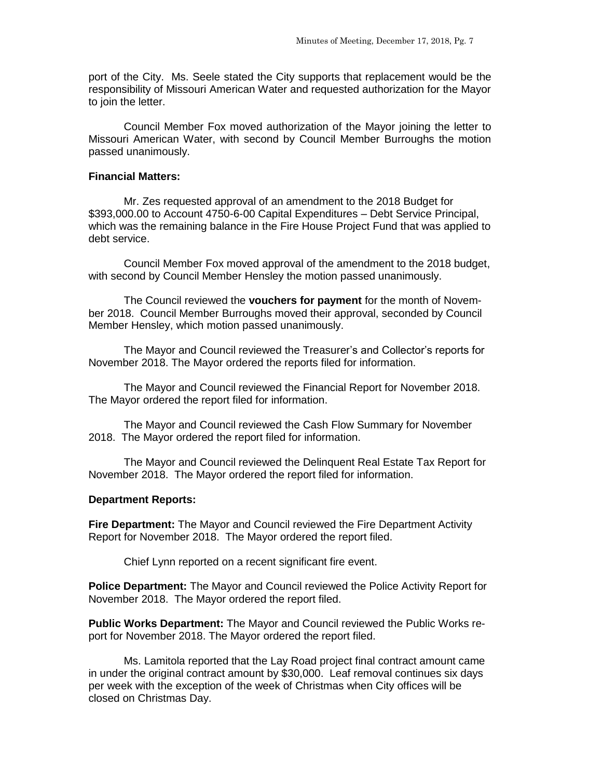port of the City. Ms. Seele stated the City supports that replacement would be the responsibility of Missouri American Water and requested authorization for the Mayor to join the letter.

Council Member Fox moved authorization of the Mayor joining the letter to Missouri American Water, with second by Council Member Burroughs the motion passed unanimously.

### **Financial Matters:**

Mr. Zes requested approval of an amendment to the 2018 Budget for \$393,000.00 to Account 4750-6-00 Capital Expenditures – Debt Service Principal, which was the remaining balance in the Fire House Project Fund that was applied to debt service.

Council Member Fox moved approval of the amendment to the 2018 budget, with second by Council Member Hensley the motion passed unanimously.

The Council reviewed the **vouchers for payment** for the month of November 2018. Council Member Burroughs moved their approval, seconded by Council Member Hensley, which motion passed unanimously.

The Mayor and Council reviewed the Treasurer's and Collector's reports for November 2018. The Mayor ordered the reports filed for information.

The Mayor and Council reviewed the Financial Report for November 2018. The Mayor ordered the report filed for information.

The Mayor and Council reviewed the Cash Flow Summary for November 2018. The Mayor ordered the report filed for information.

The Mayor and Council reviewed the Delinquent Real Estate Tax Report for November 2018. The Mayor ordered the report filed for information.

#### **Department Reports:**

**Fire Department:** The Mayor and Council reviewed the Fire Department Activity Report for November 2018. The Mayor ordered the report filed.

Chief Lynn reported on a recent significant fire event.

**Police Department:** The Mayor and Council reviewed the Police Activity Report for November 2018. The Mayor ordered the report filed.

**Public Works Department:** The Mayor and Council reviewed the Public Works report for November 2018. The Mayor ordered the report filed.

Ms. Lamitola reported that the Lay Road project final contract amount came in under the original contract amount by \$30,000. Leaf removal continues six days per week with the exception of the week of Christmas when City offices will be closed on Christmas Day.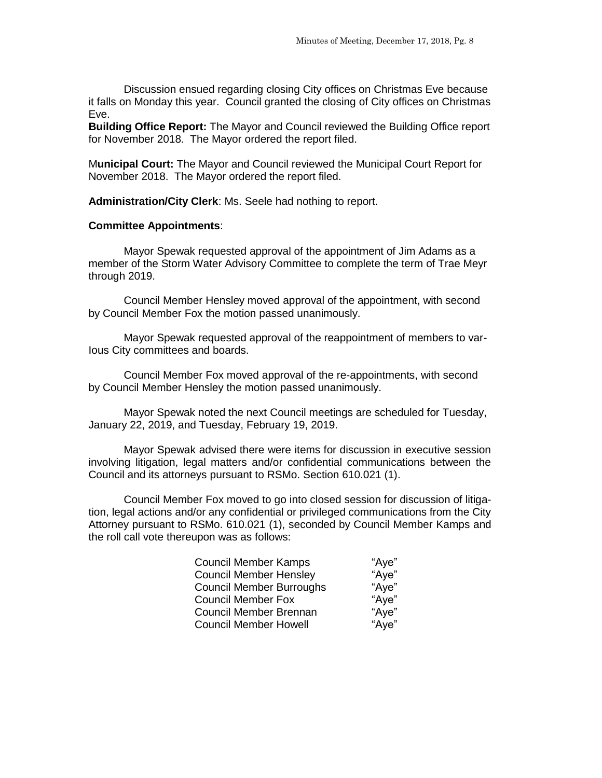Discussion ensued regarding closing City offices on Christmas Eve because it falls on Monday this year. Council granted the closing of City offices on Christmas Eve.

**Building Office Report:** The Mayor and Council reviewed the Building Office report for November 2018. The Mayor ordered the report filed.

M**unicipal Court:** The Mayor and Council reviewed the Municipal Court Report for November 2018. The Mayor ordered the report filed.

**Administration/City Clerk**: Ms. Seele had nothing to report.

### **Committee Appointments**:

Mayor Spewak requested approval of the appointment of Jim Adams as a member of the Storm Water Advisory Committee to complete the term of Trae Meyr through 2019.

Council Member Hensley moved approval of the appointment, with second by Council Member Fox the motion passed unanimously.

Mayor Spewak requested approval of the reappointment of members to var-Ious City committees and boards.

Council Member Fox moved approval of the re-appointments, with second by Council Member Hensley the motion passed unanimously.

Mayor Spewak noted the next Council meetings are scheduled for Tuesday, January 22, 2019, and Tuesday, February 19, 2019.

Mayor Spewak advised there were items for discussion in executive session involving litigation, legal matters and/or confidential communications between the Council and its attorneys pursuant to RSMo. Section 610.021 (1).

Council Member Fox moved to go into closed session for discussion of litigation, legal actions and/or any confidential or privileged communications from the City Attorney pursuant to RSMo. 610.021 (1), seconded by Council Member Kamps and the roll call vote thereupon was as follows:

| <b>Council Member Kamps</b>     | "Aye" |
|---------------------------------|-------|
| <b>Council Member Hensley</b>   | "Aye" |
| <b>Council Member Burroughs</b> | "Aye" |
| <b>Council Member Fox</b>       | "Aye" |
| Council Member Brennan          | "Aye" |
| <b>Council Member Howell</b>    | "Aye" |